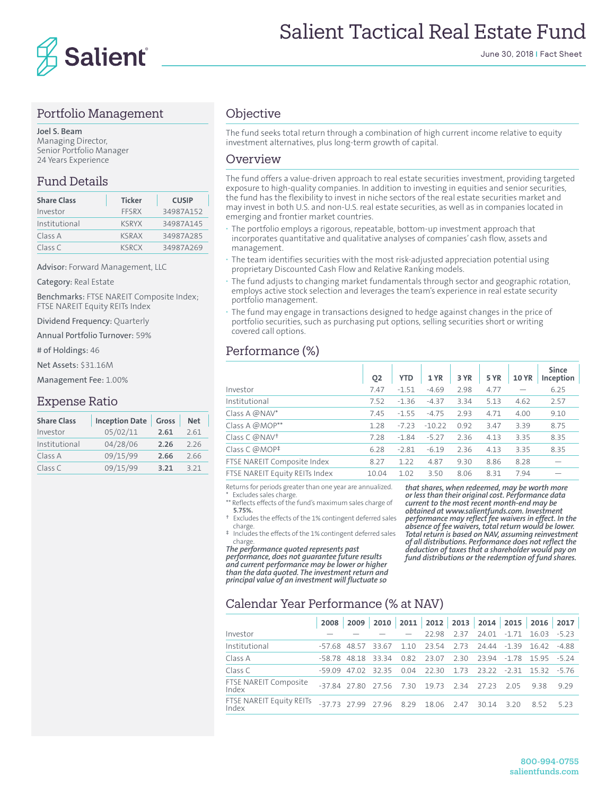

#### Portfolio Management

**Joel S. Beam** Managing Director, Senior Portfolio Manager 24 Years Experience

#### Fund Details

| <b>Share Class</b> | <b>Ticker</b> | <b>CUSIP</b> |
|--------------------|---------------|--------------|
| Investor           | FFSRX         | 34987A152    |
| Institutional      | <b>KSRYX</b>  | 34987A145    |
| Class A            | <b>KSRAX</b>  | 34987A285    |
| Class C            | <b>KSRCX</b>  | 34987A269    |

Advisor: Forward Management, LLC

Category: Real Estate

Benchmarks: FTSE NAREIT Composite Index; FTSE NAREIT Equity REITs Index

Dividend Frequency: Quarterly

Annual Portfolio Turnover: 59%

# of Holdings: 46

Net Assets: \$31.16M

Management Fee: 1.00%

#### Expense Ratio

| <b>Share Class</b> | <b>Inception Date</b> | Gross | <b>Net</b> |
|--------------------|-----------------------|-------|------------|
| Investor           | 05/02/11              | 2.61  | 2.61       |
| Institutional      | 04/28/06              | 2.26  | 226        |
| Class A            | 09/15/99              | 2.66  | 2.66       |
| Class C            | 09/15/99              | 3.21  | 3 2 1      |

## **Objective**

The fund seeks total return through a combination of high current income relative to equity investment alternatives, plus long-term growth of capital.

#### **Overview**

The fund offers a value-driven approach to real estate securities investment, providing targeted exposure to high-quality companies. In addition to investing in equities and senior securities, the fund has the flexibility to invest in niche sectors of the real estate securities market and may invest in both U.S. and non-U.S. real estate securities, as well as in companies located in emerging and frontier market countries.

- **·** The portfolio employs a rigorous, repeatable, bottom-up investment approach that incorporates quantitative and qualitative analyses of companies' cash flow, assets and management.
- **·** The team identifies securities with the most risk-adjusted appreciation potential using proprietary Discounted Cash Flow and Relative Ranking models.
- **·** The fund adjusts to changing market fundamentals through sector and geographic rotation, employs active stock selection and leverages the team's experience in real estate security portfolio management.
- **·** The fund may engage in transactions designed to hedge against changes in the price of portfolio securities, such as purchasing put options, selling securities short or writing covered call options.

#### Performance (%)

|                                | O <sub>2</sub> | <b>YTD</b> | 1 YR     | 3 YR | 5 YR | <b>10 YR</b> | <b>Since</b><br>Inception |
|--------------------------------|----------------|------------|----------|------|------|--------------|---------------------------|
| Investor                       | 7.47           | $-1.51$    | $-4.69$  | 2.98 | 4.77 |              | 6.25                      |
| Institutional                  | 7.52           | $-1.36$    | $-4.37$  | 3.34 | 5.13 | 4.62         | 2.57                      |
| Class A @NAV*                  | 7.45           | $-1.55$    | $-4.75$  | 2.93 | 4.71 | 4.00         | 9.10                      |
| Class A @MOP**                 | 1.28           | $-7.23$    | $-10.22$ | 0.92 | 3.47 | 3.39         | 8.75                      |
| Class C @NAV <sup>+</sup>      | 7.28           | $-1.84$    | $-5.27$  | 2.36 | 4.13 | 3.35         | 8.35                      |
| Class C @MOP <sup>‡</sup>      | 6.28           | $-2.81$    | $-6.19$  | 2.36 | 4.13 | 3.35         | 8.35                      |
| FTSE NAREIT Composite Index    | 8.27           | 1.22       | 4.87     | 9.30 | 8.86 | 8.28         |                           |
| FTSE NAREIT Equity REITs Index | 10.04          | 1.02       | 3.50     | 8.06 | 8.31 | 7.94         |                           |

Returns for periods greater than one year are annualized. Excludes sales charge

Reflects effects of the fund's maximum sales charge of **5.75%.**

† Excludes the effects of the 1% contingent deferred sales charge.

‡ Includes the effects of the 1% contingent deferred sales charge.

*The performance quoted represents past performance, does not guarantee future results and current performance may be lower or higher than the data quoted. The investment return and principal value of an investment will fluctuate so* 

*that shares, when redeemed, may be worth more or less than their original cost. Performance data current to the most recent month-end may be obtained at www.salientfunds.com. Investment performance may reflect fee waivers in effect. In the absence of fee waivers, total return would be lower. Total return is based on NAV, assuming reinvestment of all distributions. Performance does not reflect the deduction of taxes that a shareholder would pay on fund distributions or the redemption of fund shares.*

# Calendar Year Performance (% at NAV)

|                                   |                                               |                    |                                                            |                        |            | 2008 2009 2010 2011 2012 2013 2014 2015 2016 2017 |
|-----------------------------------|-----------------------------------------------|--------------------|------------------------------------------------------------|------------------------|------------|---------------------------------------------------|
| Investor                          |                                               |                    |                                                            | 22.98 2.37 24.01 -1.71 | 1603 - 523 |                                                   |
| Institutional                     |                                               | -57.68 48.57 33.67 | 1.10 23.54 2.73 24.44 -1.39 16.42 -4.88                    |                        |            |                                                   |
| Class A                           |                                               |                    | -58.78 48.18 33.34 0.82 23.07 2.30 23.94 -1.78 15.95 -5.24 |                        |            |                                                   |
| Class C                           | $-59.09$                                      |                    | 47.02 32.35 0.04 22.30 1.73 23.22 -2.31 15.32 -5.76        |                        |            |                                                   |
| FTSE NAREIT Composite<br>Index    |                                               |                    | -37.84 27.80 27.56 7.30 19.73 2.34 27.23 2.05              |                        | 938        | 9.29                                              |
| FTSE NAREIT Equity REITs<br>Index | -37.73 27.99 27.96 8.29 18.06 2.47 30.14 3.20 |                    |                                                            |                        | 852        | 523                                               |